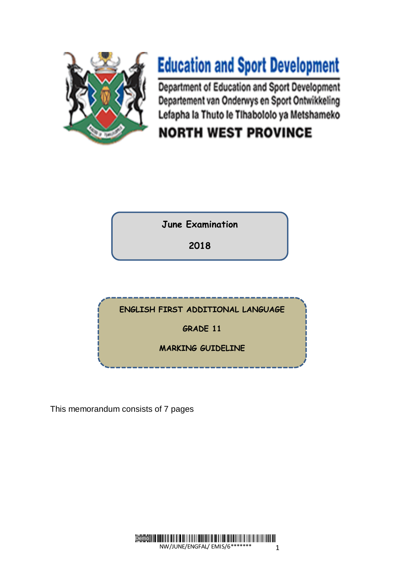

# **Education and Sport Development**

Department of Education and Sport Development Departement van Onderwys en Sport Ontwikkeling Lefapha la Thuto le Tihabololo ya Metshameko

## **NORTH WEST PROVINCE**

**June Examination**

**2018**

**ENGLISH FIRST ADDITIONAL LANGUAGE** 

**GRADE 11**

**MARKING GUIDELINE**

This memorandum consists of 7 pages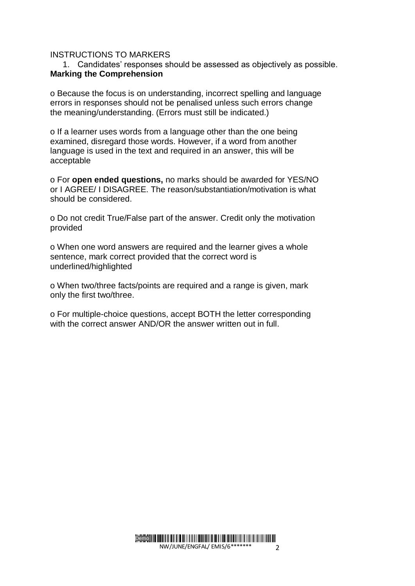#### INSTRUCTIONS TO MARKERS

#### 1. Candidates' responses should be assessed as objectively as possible. **Marking the Comprehension**

o Because the focus is on understanding, incorrect spelling and language errors in responses should not be penalised unless such errors change the meaning/understanding. (Errors must still be indicated.)

o If a learner uses words from a language other than the one being examined, disregard those words. However, if a word from another language is used in the text and required in an answer, this will be acceptable

o For **open ended questions,** no marks should be awarded for YES/NO or I AGREE/ I DISAGREE. The reason/substantiation/motivation is what should be considered.

o Do not credit True/False part of the answer. Credit only the motivation provided

o When one word answers are required and the learner gives a whole sentence, mark correct provided that the correct word is underlined/highlighted

o When two/three facts/points are required and a range is given, mark only the first two/three.

o For multiple-choice questions, accept BOTH the letter corresponding with the correct answer AND/OR the answer written out in full.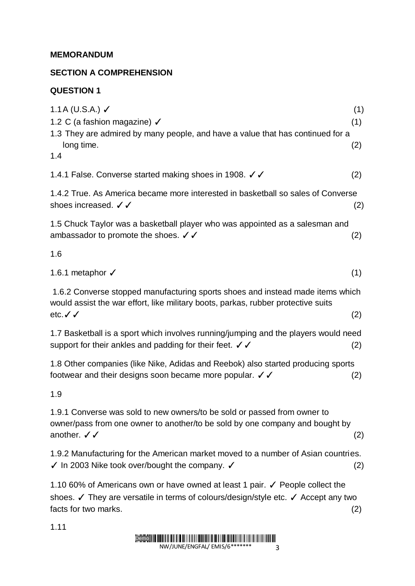#### **MEMORANDUM**

### **SECTION A COMPREHENSION**

#### **QUESTION 1**

| 1.1 A (U.S.A.) $\checkmark$<br>1.2 C (a fashion magazine) √                                                                                                                                 | (1)<br>(1) |
|---------------------------------------------------------------------------------------------------------------------------------------------------------------------------------------------|------------|
| 1.3 They are admired by many people, and have a value that has continued for a<br>long time.<br>1.4                                                                                         | (2)        |
| 1.4.1 False. Converse started making shoes in 1908. / /                                                                                                                                     | (2)        |
| 1.4.2 True. As America became more interested in basketball so sales of Converse<br>shoes increased. √ √                                                                                    | (2)        |
| 1.5 Chuck Taylor was a basketball player who was appointed as a salesman and<br>ambassador to promote the shoes. $\checkmark$                                                               | (2)        |
| 1.6                                                                                                                                                                                         |            |
| 1.6.1 metaphor √                                                                                                                                                                            | (1)        |
| 1.6.2 Converse stopped manufacturing sports shoes and instead made items which<br>would assist the war effort, like military boots, parkas, rubber protective suits<br>etc. $\checkmark$    | (2)        |
| 1.7 Basketball is a sport which involves running/jumping and the players would need<br>support for their ankles and padding for their feet. $\checkmark$                                    | (2)        |
| 1.8 Other companies (like Nike, Adidas and Reebok) also started producing sports<br>footwear and their designs soon became more popular. $\checkmark$                                       | (2)        |
| 1.9                                                                                                                                                                                         |            |
| 1.9.1 Converse was sold to new owners/to be sold or passed from owner to<br>owner/pass from one owner to another/to be sold by one company and bought by<br>another. $\checkmark$           | (2)        |
| 1.9.2 Manufacturing for the American market moved to a number of Asian countries.<br>$\checkmark$ In 2003 Nike took over/bought the company. $\checkmark$                                   | (2)        |
| 1.10 60% of Americans own or have owned at least 1 pair. √ People collect the<br>shoes. ∕ They are versatile in terms of colours/design/style etc. ∕ Accept any two<br>facts for two marks. | (2)        |

1.11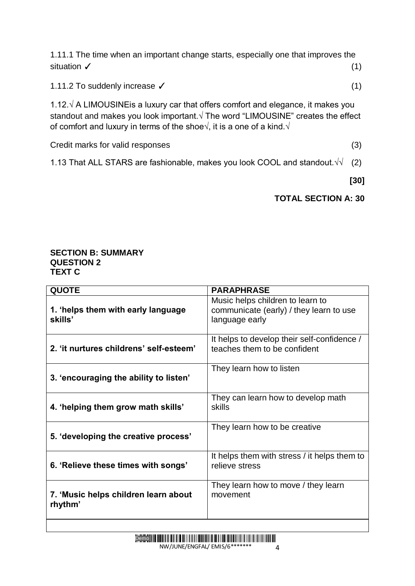1.11.1 The time when an important change starts, especially one that improves the situation  $\checkmark$  (1)

1.11.2 To suddenly increase ✓ (1)

1.12.√ A LIMOUSINEis a luxury car that offers comfort and elegance, it makes you standout and makes you look important.√ The word "LIMOUSINE" creates the effect of comfort and luxury in terms of the shoe $\sqrt{ }$ , it is a one of a kind. $\sqrt{ }$ 

Credit marks for valid responses (3)

1.13 That ALL STARS are fashionable, makes you look COOL and standout. $\sqrt{1}$  (2)

**[30]** 

### **TOTAL SECTION A: 30**

#### **SECTION B: SUMMARY QUESTION 2 TEXT C**

| <b>QUOTE</b>                                    | <b>PARAPHRASE</b>                                                                             |
|-------------------------------------------------|-----------------------------------------------------------------------------------------------|
| 1. 'helps them with early language<br>skills'   | Music helps children to learn to<br>communicate (early) / they learn to use<br>language early |
| 2. 'it nurtures childrens' self-esteem'         | It helps to develop their self-confidence /<br>teaches them to be confident                   |
| 3. 'encouraging the ability to listen'          | They learn how to listen                                                                      |
| 4. 'helping them grow math skills'              | They can learn how to develop math<br>skills                                                  |
| 5. 'developing the creative process'            | They learn how to be creative                                                                 |
| 6. 'Relieve these times with songs'             | It helps them with stress / it helps them to<br>relieve stress                                |
| 7. 'Music helps children learn about<br>rhythm' | They learn how to move / they learn<br>movement                                               |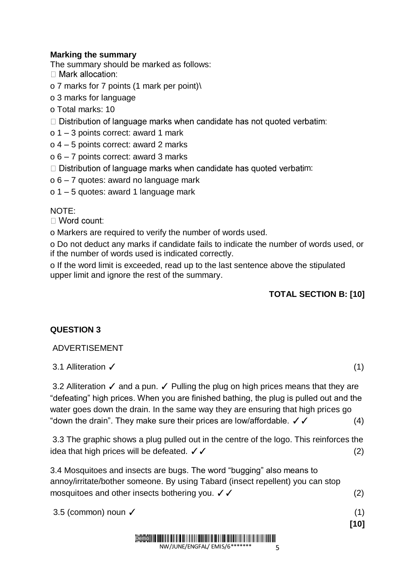#### **Marking the summary**

The summary should be marked as follows:

- $\Box$  Mark allocation:
- o 7 marks for 7 points (1 mark per point)\
- o 3 marks for language
- o Total marks: 10
- □ Distribution of language marks when candidate has not quoted verbatim:
- o 1 3 points correct: award 1 mark
- o 4 5 points correct: award 2 marks
- o 6 7 points correct: award 3 marks
- $\Box$  Distribution of language marks when candidate has quoted verbatim:
- o 6 7 quotes: award no language mark
- o 1 5 quotes: award 1 language mark

NOTE:

 $\Box$  Word count:

o Markers are required to verify the number of words used.

o Do not deduct any marks if candidate fails to indicate the number of words used, or if the number of words used is indicated correctly.

o If the word limit is exceeded, read up to the last sentence above the stipulated upper limit and ignore the rest of the summary.

#### **TOTAL SECTION B: [10]**

#### **QUESTION 3**

#### ADVERTISEMENT

#### 3.1 Alliteration ✓ (1)

3.2 Alliteration √ and a pun. √ Pulling the plug on high prices means that they are "defeating" high prices. When you are finished bathing, the plug is pulled out and the water goes down the drain. In the same way they are ensuring that high prices go "down the drain". They make sure their prices are low/affordable.  $\checkmark$   $\checkmark$  (4)

3.3 The graphic shows a plug pulled out in the centre of the logo. This reinforces the idea that high prices will be defeated.  $\checkmark \checkmark$  (2)

3.4 Mosquitoes and insects are bugs. The word "bugging" also means to annoy/irritate/bother someone. By using Tabard (insect repellent) you can stop mosquitoes and other insects bothering you.  $\checkmark$   $\checkmark$  (2)

 $3.5$  (common) noun  $\checkmark$  (1)

#### HI II FIA I II HAI II HI II HAI FALLI HA FI HI IFI HI HI FI HI HI HI HI HI HI HI HI HI Demo

NW/JUNE/ENGFAL/ EMIS/6\*

5

**[10]**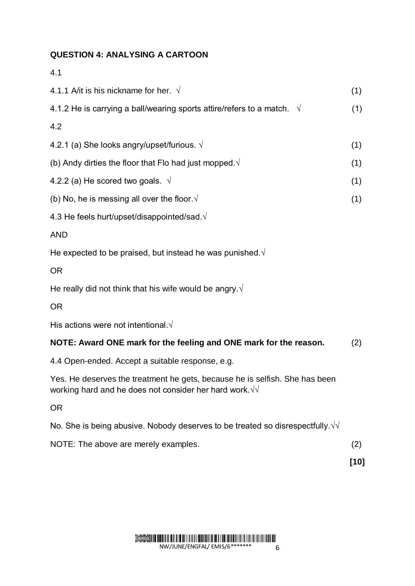#### **QUESTION 4: ANALYSING A CARTOON**

| 4.1                                                                                                                                            |     |
|------------------------------------------------------------------------------------------------------------------------------------------------|-----|
| 4.1.1 A/it is his nickname for her. $\sqrt{ }$                                                                                                 | (1) |
| 4.1.2 He is carrying a ball/wearing sports attire/refers to a match. $\sqrt{ }$                                                                | (1) |
| 4.2                                                                                                                                            |     |
| 4.2.1 (a) She looks angry/upset/furious. $\sqrt{ }$                                                                                            | (1) |
| (b) Andy dirties the floor that Flo had just mopped. $\sqrt{ }$                                                                                | (1) |
| 4.2.2 (a) He scored two goals. $\sqrt{ }$                                                                                                      | (1) |
| (b) No, he is messing all over the floor $\sqrt{ }$                                                                                            | (1) |
| 4.3 He feels hurt/upset/disappointed/sad. $\sqrt{ }$                                                                                           |     |
| <b>AND</b>                                                                                                                                     |     |
| He expected to be praised, but instead he was punished. $\sqrt{ }$                                                                             |     |
| <b>OR</b>                                                                                                                                      |     |
| He really did not think that his wife would be angry. $\sqrt{ }$                                                                               |     |
| <b>OR</b>                                                                                                                                      |     |
| His actions were not intentional. $\sqrt{ }$                                                                                                   |     |
| NOTE: Award ONE mark for the feeling and ONE mark for the reason.                                                                              | (2) |
| 4.4 Open-ended. Accept a suitable response, e.g.                                                                                               |     |
| Yes. He deserves the treatment he gets, because he is selfish. She has been<br>working hard and he does not consider her hard work. $\sqrt{v}$ |     |
| <b>OR</b>                                                                                                                                      |     |
| No. She is being abusive. Nobody deserves to be treated so disrespectfully. $\sqrt{v}$                                                         |     |
| NOTE: The above are merely examples.                                                                                                           | (2) |

**[10]**